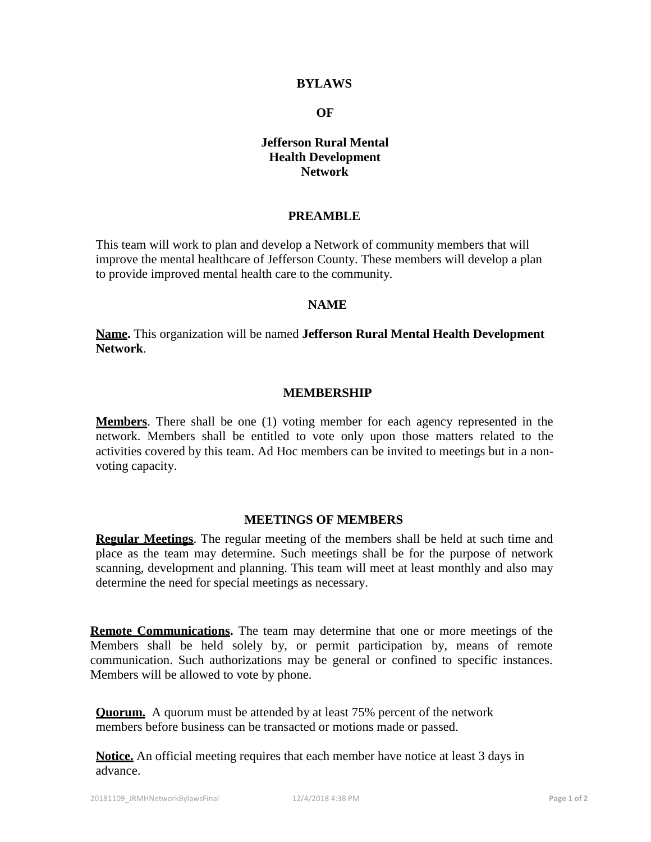### **BYLAWS**

#### **OF**

# **Jefferson Rural Mental Health Development Network**

### **PREAMBLE**

This team will work to plan and develop a Network of community members that will improve the mental healthcare of Jefferson County. These members will develop a plan to provide improved mental health care to the community.

## **NAME**

**Name.** This organization will be named **Jefferson Rural Mental Health Development Network**.

### **MEMBERSHIP**

**Members**. There shall be one (1) voting member for each agency represented in the network. Members shall be entitled to vote only upon those matters related to the activities covered by this team. Ad Hoc members can be invited to meetings but in a nonvoting capacity.

#### **MEETINGS OF MEMBERS**

**Regular Meetings**. The regular meeting of the members shall be held at such time and place as the team may determine. Such meetings shall be for the purpose of network scanning, development and planning. This team will meet at least monthly and also may determine the need for special meetings as necessary.

**Remote Communications.** The team may determine that one or more meetings of the Members shall be held solely by, or permit participation by, means of remote communication. Such authorizations may be general or confined to specific instances. Members will be allowed to vote by phone.

**Quorum.** A quorum must be attended by at least 75% percent of the network members before business can be transacted or motions made or passed.

**Notice.** An official meeting requires that each member have notice at least 3 days in advance.